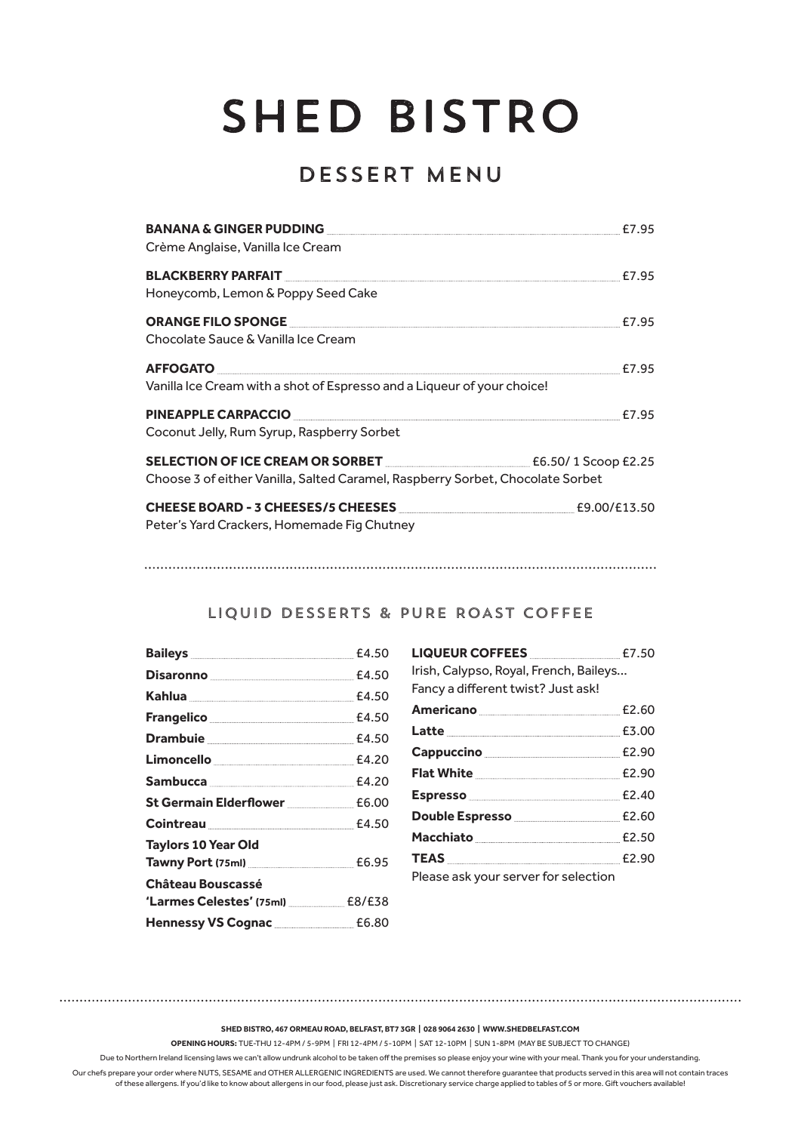## SHED BISTRO

## DESSERT MENU

| Crème Anglaise, Vanilla Ice Cream                                                                   |  |
|-----------------------------------------------------------------------------------------------------|--|
|                                                                                                     |  |
| Honeycomb, Lemon & Poppy Seed Cake                                                                  |  |
| <b>ORANGE FILO SPONGE AND RESERVE THE RESIDENCE OR ANGELO SPONGE AND RESIDENCE OR ANGELO SPONGE</b> |  |
| Chocolate Sauce & Vanilla Ice Cream                                                                 |  |
| <b>AFFOGATO</b> E7.95                                                                               |  |
| Vanilla Ice Cream with a shot of Espresso and a Liqueur of your choice!                             |  |
| PINEAPPLE CARPACCIO                                                                                 |  |
| Coconut Jelly, Rum Syrup, Raspberry Sorbet                                                          |  |
| SELECTION OF ICE CREAM OR SORBET <b>EXAMPLE 2018</b> E6.50/1 Scoop £2.25                            |  |
| Choose 3 of either Vanilla, Salted Caramel, Raspberry Sorbet, Chocolate Sorbet                      |  |
|                                                                                                     |  |
| Peter's Yard Crackers, Homemade Fig Chutney                                                         |  |

## LIQUID DESSERTS & PURE ROAST COFFEE

| Disaronno <u>Communication and E4.50</u>                 |  |
|----------------------------------------------------------|--|
|                                                          |  |
|                                                          |  |
|                                                          |  |
| Limoncello <u>________________________________</u> £4.20 |  |
|                                                          |  |
| St Germain Elderflower <b>ELGER</b> E6.00                |  |
|                                                          |  |
| <b>Taylors 10 Year Old</b>                               |  |
| Tawny Port (75ml) ________________________________ £6.95 |  |
| <b>Château Bouscassé</b>                                 |  |
| 'Larmes Celestes' (75ml) E8/E38                          |  |
| Hennessy VS Cognac ___________________ £6.80             |  |

| LIQUEUR COFFEES <b>MARKER</b> E7.50<br>Irish, Calypso, Royal, French, Baileys<br>Fancy a different twist? Just ask! |  |
|---------------------------------------------------------------------------------------------------------------------|--|
| Americano <b>Maria 2018</b> £2.60                                                                                   |  |
|                                                                                                                     |  |
| Cappuccino ___________________________________ £2.90                                                                |  |
| <b>Flat White E2.90</b>                                                                                             |  |
|                                                                                                                     |  |
| Double Espresso _____________________________ £2.60                                                                 |  |
|                                                                                                                     |  |
|                                                                                                                     |  |
| Please ask your server for selection                                                                                |  |

**SHED BISTRO, 467 ORMEAU ROAD, BELFAST, BT7 3GR | 028 9064 2630 | WWW.SHEDBELFAST.COM**

**OPENING HOURS:** TUE-THU 12-4PM / 5-9PM | FRI 12-4PM / 5-10PM | SAT 12-10PM | SUN 1-8PM (MAY BE SUBJECT TO CHANGE)

Due to Northern Ireland licensing laws we can't allow undrunk alcohol to be taken off the premises so please enjoy your wine with your meal. Thank you for your understanding.

Our chefs prepare your order where NUTS, SESAME and OTHER ALLERGENIC INGREDIENTS are used. We cannot therefore guarantee that products served in this area will not contain traces of these allergens. If you'd like to know about allergens in our food, please just ask. Discretionary service charge applied to tables of 5 or more. Gift vouchers available!